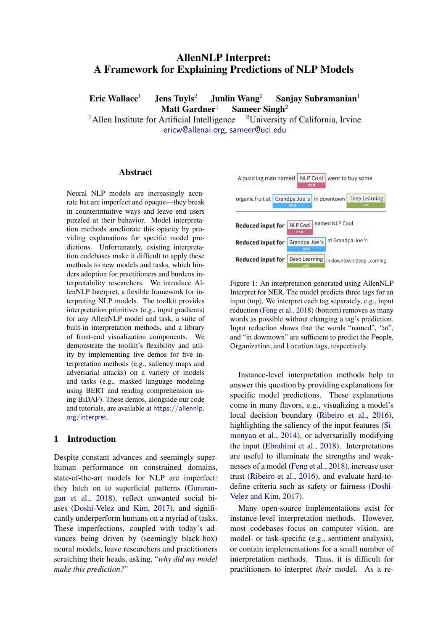# AllenNLP Interpret: A Framework for Explaining Predictions of NLP Models

Eric Wallace<sup>1</sup> Jens Tuyls<sup>2</sup> Junlin Wang<sup>2</sup> Sanjay Subramanian<sup>1</sup> Matt Gardner<sup>1</sup> Sameer Singh<sup>2</sup>

<sup>1</sup>Allen Institute for Artificial Intelligence  $\frac{2 \text{University of California}}{2 \text{Uniformed}}$ [ericw@allenai.org](mailto:ericw@allenai.org), [sameer@uci.edu](mailto:sameer@uci.edu)

### Abstract

Neural NLP models are increasingly accurate but are imperfect and opaque—they break in counterintuitive ways and leave end users puzzled at their behavior. Model interpretation methods ameliorate this opacity by providing explanations for specific model predictions. Unfortunately, existing interpretation codebases make it difficult to apply these methods to new models and tasks, which hinders adoption for practitioners and burdens interpretability researchers. We introduce AllenNLP Interpret, a flexible framework for interpreting NLP models. The toolkit provides interpretation primitives (e.g., input gradients) for any AllenNLP model and task, a suite of built-in interpretation methods, and a library of front-end visualization components. We demonstrate the toolkit's flexibility and utility by implementing live demos for five interpretation methods (e.g., saliency maps and adversarial attacks) on a variety of models and tasks (e.g., masked language modeling using BERT and reading comprehension using BiDAF). These demos, alongside our code and tutorials, are available at [https://allennlp.](https://allennlp.org/interpret) [org/interpret](https://allennlp.org/interpret).

### 1 Introduction

Despite constant advances and seemingly superhuman performance on constrained domains, state-of-the-art models for NLP are imperfect: they latch on to superficial patterns [\(Gururan](#page-5-0)[gan et al.,](#page-5-0) [2018\)](#page-5-0), reflect unwanted social biases [\(Doshi-Velez and Kim,](#page-5-1) [2017\)](#page-5-1), and significantly underperform humans on a myriad of tasks. These imperfections, coupled with today's advances being driven by (seemingly black-box) neural models, leave researchers and practitioners scratching their heads, asking, "*why did my model make this prediction?*"

<span id="page-0-0"></span>

Figure 1: An interpretation generated using AllenNLP Interpret for NER. The model predicts three tags for an input (top). We interpret each tag separately, e.g., input reduction [\(Feng et al.,](#page-5-2) [2018\)](#page-5-2) (bottom) removes as many words as possible without changing a tag's prediction. Input reduction shows that the words "named", "at", and "in downtown" are sufficient to predict the People, Organization, and Location tags, respectively.

Instance-level interpretation methods help to answer this question by providing explanations for specific model predictions. These explanations come in many flavors, e.g., visualizing a model's local decision boundary [\(Ribeiro et al.,](#page-5-3) [2016\)](#page-5-3), highlighting the saliency of the input features [\(Si](#page-5-4)[monyan et al.,](#page-5-4) [2014\)](#page-5-4), or adversarially modifying the input [\(Ebrahimi et al.,](#page-5-5) [2018\)](#page-5-5). Interpretations are useful to illuminate the strengths and weaknesses of a model [\(Feng et al.,](#page-5-2) [2018\)](#page-5-2), increase user trust [\(Ribeiro et al.,](#page-5-3) [2016\)](#page-5-3), and evaluate hard-todefine criteria such as safety or fairness [\(Doshi-](#page-5-1)[Velez and Kim,](#page-5-1) [2017\)](#page-5-1).

Many open-source implementations exist for instance-level interpretation methods. However, most codebases focus on computer vision, are model- or task-specific (e.g., sentiment analysis), or contain implementations for a small number of interpretation methods. Thus, it is difficult for practitioners to interpret *their* model. As a re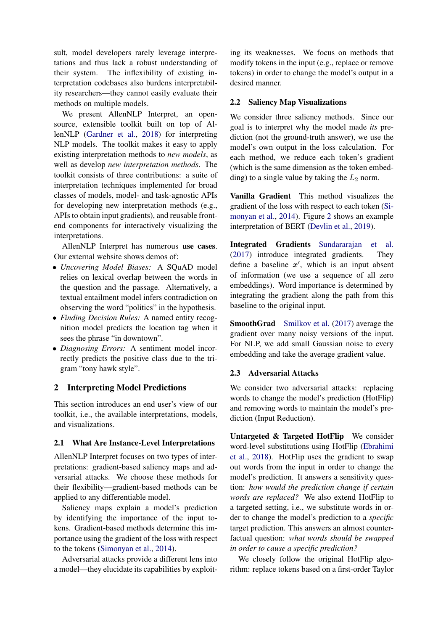sult, model developers rarely leverage interpretations and thus lack a robust understanding of their system. The inflexibility of existing interpretation codebases also burdens interpretability researchers—they cannot easily evaluate their methods on multiple models.

We present AllenNLP Interpret, an opensource, extensible toolkit built on top of AllenNLP [\(Gardner et al.,](#page-5-6) [2018\)](#page-5-6) for interpreting NLP models. The toolkit makes it easy to apply existing interpretation methods to *new models*, as well as develop *new interpretation methods*. The toolkit consists of three contributions: a suite of interpretation techniques implemented for broad classes of models, model- and task-agnostic APIs for developing new interpretation methods (e.g., APIs to obtain input gradients), and reusable frontend components for interactively visualizing the interpretations.

AllenNLP Interpret has numerous use cases. Our external website shows demos of:

- *Uncovering Model Biases:* A SQuAD model relies on lexical overlap between the words in the question and the passage. Alternatively, a textual entailment model infers contradiction on observing the word "politics" in the hypothesis.
- *Finding Decision Rules:* A named entity recognition model predicts the location tag when it sees the phrase "in downtown".
- *Diagnosing Errors:* A sentiment model incorrectly predicts the positive class due to the trigram "tony hawk style".

# 2 Interpreting Model Predictions

This section introduces an end user's view of our toolkit, i.e., the available interpretations, models, and visualizations.

#### 2.1 What Are Instance-Level Interpretations

AllenNLP Interpret focuses on two types of interpretations: gradient-based saliency maps and adversarial attacks. We choose these methods for their flexibility—gradient-based methods can be applied to any differentiable model.

Saliency maps explain a model's prediction by identifying the importance of the input tokens. Gradient-based methods determine this importance using the gradient of the loss with respect to the tokens [\(Simonyan et al.,](#page-5-4) [2014\)](#page-5-4).

Adversarial attacks provide a different lens into a model—they elucidate its capabilities by exploiting its weaknesses. We focus on methods that modify tokens in the input (e.g., replace or remove tokens) in order to change the model's output in a desired manner.

### 2.2 Saliency Map Visualizations

We consider three saliency methods. Since our goal is to interpret why the model made *its* prediction (not the ground-truth answer), we use the model's own output in the loss calculation. For each method, we reduce each token's gradient (which is the same dimension as the token embedding) to a single value by taking the  $L_2$  norm.

Vanilla Gradient This method visualizes the gradient of the loss with respect to each token [\(Si](#page-5-4)[monyan et al.,](#page-5-4) [2014\)](#page-5-4). Figure [2](#page-2-0) shows an example interpretation of BERT [\(Devlin et al.,](#page-5-7) [2019\)](#page-5-7).

Integrated Gradients [Sundararajan et al.](#page-5-8) [\(2017\)](#page-5-8) introduce integrated gradients. They define a baseline  $x'$ , which is an input absent of information (we use a sequence of all zero embeddings). Word importance is determined by integrating the gradient along the path from this baseline to the original input.

SmoothGrad [Smilkov et al.](#page-5-9) [\(2017\)](#page-5-9) average the gradient over many noisy versions of the input. For NLP, we add small Gaussian noise to every embedding and take the average gradient value.

# <span id="page-1-0"></span>2.3 Adversarial Attacks

We consider two adversarial attacks: replacing words to change the model's prediction (HotFlip) and removing words to maintain the model's prediction (Input Reduction).

Untargeted & Targeted HotFlip We consider word-level substitutions using HotFlip [\(Ebrahimi](#page-5-5) [et al.,](#page-5-5) [2018\)](#page-5-5). HotFlip uses the gradient to swap out words from the input in order to change the model's prediction. It answers a sensitivity question: *how would the prediction change if certain words are replaced?* We also extend HotFlip to a targeted setting, i.e., we substitute words in order to change the model's prediction to a *specific* target prediction. This answers an almost counterfactual question: *what words should be swapped in order to cause a specific prediction?*

We closely follow the original HotFlip algorithm: replace tokens based on a first-order Taylor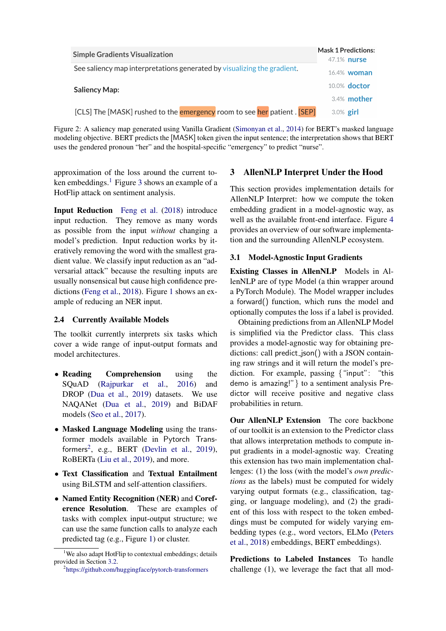<span id="page-2-0"></span>

| <b>Simple Gradients Visualization</b>                                   | <b>Mask 1 Predictions:</b><br>47.1% nurse |
|-------------------------------------------------------------------------|-------------------------------------------|
| See saliency map interpretations generated by visualizing the gradient. | 16.4% woman                               |
| <b>Saliency Map:</b>                                                    | 10.0% doctor                              |
|                                                                         | 3.4% mother                               |
| [CLS] The [MASK] rushed to the emergency room to see her patient. [SEP] | $3.0\%$ girl                              |

Figure 2: A saliency map generated using Vanilla Gradient [\(Simonyan et al.,](#page-5-4) [2014\)](#page-5-4) for BERT's masked language modeling objective. BERT predicts the [MASK] token given the input sentence; the interpretation shows that BERT uses the gendered pronoun "her" and the hospital-specific "emergency" to predict "nurse".

approximation of the loss around the current to-ken embeddings.<sup>[1](#page-2-1)</sup> Figure [3](#page-3-0) shows an example of a HotFlip attack on sentiment analysis.

Input Reduction [Feng et al.](#page-5-2) [\(2018\)](#page-5-2) introduce input reduction. They remove as many words as possible from the input *without* changing a model's prediction. Input reduction works by iteratively removing the word with the smallest gradient value. We classify input reduction as an "adversarial attack" because the resulting inputs are usually nonsensical but cause high confidence predictions [\(Feng et al.,](#page-5-2) [2018\)](#page-5-2). Figure [1](#page-0-0) shows an example of reducing an NER input.

# 2.4 Currently Available Models

The toolkit currently interprets six tasks which cover a wide range of input-output formats and model architectures.

- Reading Comprehension using the SQuAD [\(Rajpurkar et al.,](#page-5-10) [2016\)](#page-5-10) and DROP [\(Dua et al.,](#page-5-11) [2019\)](#page-5-11) datasets. We use NAQANet [\(Dua et al.,](#page-5-11) [2019\)](#page-5-11) and BiDAF models [\(Seo et al.,](#page-5-12) [2017\)](#page-5-12).
- Masked Language Modeling using the transformer models available in Pytorch Trans-formers<sup>[2](#page-2-2)</sup>, e.g., BERT [\(Devlin et al.,](#page-5-7) [2019\)](#page-5-7), RoBERTa [\(Liu et al.,](#page-5-13) [2019\)](#page-5-13), and more.
- Text Classification and Textual Entailment using BiLSTM and self-attention classifiers.
- Named Entity Recognition (NER) and Coreference Resolution. These are examples of tasks with complex input-output structure; we can use the same function calls to analyze each predicted tag (e.g., Figure [1\)](#page-0-0) or cluster.

### <span id="page-2-2"></span>2 <https://github.com/huggingface/pytorch-transformers>

#### 3 AllenNLP Interpret Under the Hood

This section provides implementation details for AllenNLP Interpret: how we compute the token embedding gradient in a model-agnostic way, as well as the available front-end interface. Figure [4](#page-4-0) provides an overview of our software implementation and the surrounding AllenNLP ecosystem.

#### 3.1 Model-Agnostic Input Gradients

Existing Classes in AllenNLP Models in AllenNLP are of type Model (a thin wrapper around a PyTorch Module). The Model wrapper includes a forward() function, which runs the model and optionally computes the loss if a label is provided.

Obtaining predictions from an AllenNLP Model is simplified via the Predictor class. This class provides a model-agnostic way for obtaining predictions: call predict\_json() with a JSON containing raw strings and it will return the model's prediction. For example, passing {"input": "this demo is amazing!"} to a sentiment analysis Predictor will receive positive and negative class probabilities in return.

Our AllenNLP Extension The core backbone of our toolkit is an extension to the Predictor class that allows interpretation methods to compute input gradients in a model-agnostic way. Creating this extension has two main implementation challenges: (1) the loss (with the model's *own predictions* as the labels) must be computed for widely varying output formats (e.g., classification, tagging, or language modeling), and (2) the gradient of this loss with respect to the token embeddings must be computed for widely varying embedding types (e.g., word vectors, ELMo [\(Peters](#page-5-14) [et al.,](#page-5-14) [2018\)](#page-5-14) embeddings, BERT embeddings).

Predictions to Labeled Instances To handle challenge (1), we leverage the fact that all mod-

<span id="page-2-1"></span><sup>&</sup>lt;sup>1</sup>We also adapt HotFlip to contextual embeddings; details provided in Section [3.2.](#page-3-1)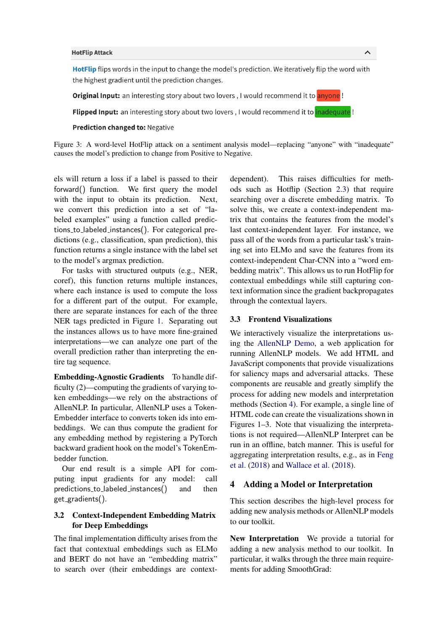#### <span id="page-3-0"></span>**HotFlip Attack**

HotFlip flips words in the input to change the model's prediction. We iteratively flip the word with the highest gradient until the prediction changes.

**Original Input:** an interesting story about two lovers, I would recommend it to anyone!

**Flipped Input:** an interesting story about two lovers, I would recommend it to *inadequate*!

#### **Prediction changed to: Negative**

Figure 3: A word-level HotFlip attack on a sentiment analysis model—replacing "anyone" with "inadequate" causes the model's prediction to change from Positive to Negative.

els will return a loss if a label is passed to their forward() function. We first query the model with the input to obtain its prediction. Next, we convert this prediction into a set of "labeled examples" using a function called predictions to labeled instances(). For categorical predictions (e.g., classification, span prediction), this function returns a single instance with the label set to the model's argmax prediction.

For tasks with structured outputs (e.g., NER, coref), this function returns multiple instances, where each instance is used to compute the loss for a different part of the output. For example, there are separate instances for each of the three NER tags predicted in Figure [1.](#page-0-0) Separating out the instances allows us to have more fine-grained interpretations—we can analyze one part of the overall prediction rather than interpreting the entire tag sequence.

Embedding-Agnostic Gradients To handle difficulty (2)—computing the gradients of varying token embeddings—we rely on the abstractions of AllenNLP. In particular, AllenNLP uses a Token-Embedder interface to converts token ids into embeddings. We can thus compute the gradient for any embedding method by registering a PyTorch backward gradient hook on the model's TokenEmbedder function.

Our end result is a simple API for computing input gradients for any model: call predictions\_to\_labeled\_instances() and then get gradients().

# <span id="page-3-1"></span>3.2 Context-Independent Embedding Matrix for Deep Embeddings

The final implementation difficulty arises from the fact that contextual embeddings such as ELMo and BERT do not have an "embedding matrix" to search over (their embeddings are context-

dependent). This raises difficulties for methods such as Hotflip (Section [2.3\)](#page-1-0) that require searching over a discrete embedding matrix. To solve this, we create a context-independent matrix that contains the features from the model's last context-independent layer. For instance, we pass all of the words from a particular task's training set into ELMo and save the features from its context-independent Char-CNN into a "word embedding matrix". This allows us to run HotFlip for contextual embeddings while still capturing context information since the gradient backpropagates through the contextual layers.

 $\boldsymbol{\wedge}$ 

#### 3.3 Frontend Visualizations

We interactively visualize the interpretations using the [AllenNLP Demo,](https://demo.allennlp.org) a web application for running AllenNLP models. We add HTML and JavaScript components that provide visualizations for saliency maps and adversarial attacks. These components are reusable and greatly simplify the process for adding new models and interpretation methods (Section [4\)](#page-3-2). For example, a single line of HTML code can create the visualizations shown in Figures 1–3. Note that visualizing the interpretations is not required—AllenNLP Interpret can be run in an offline, batch manner. This is useful for aggregating interpretation results, e.g., as in [Feng](#page-5-2) [et al.](#page-5-2) [\(2018\)](#page-5-2) and [Wallace et al.](#page-5-15) [\(2018\)](#page-5-15).

#### <span id="page-3-2"></span>4 Adding a Model or Interpretation

This section describes the high-level process for adding new analysis methods or AllenNLP models to our toolkit.

New Interpretation We provide a tutorial for adding a new analysis method to our toolkit. In particular, it walks through the three main requirements for adding SmoothGrad: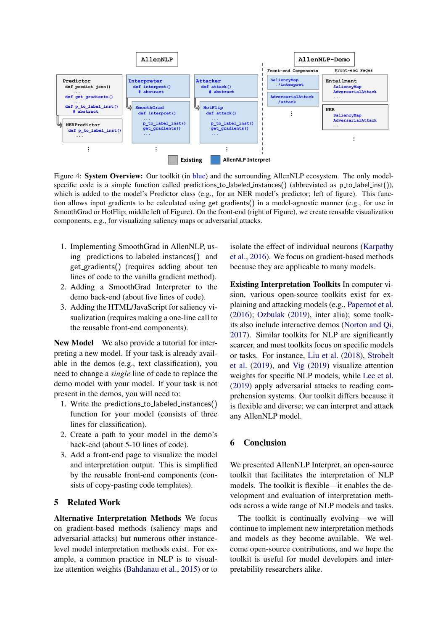<span id="page-4-0"></span>

Figure 4: System Overview: Our toolkit (in blue) and the surrounding AllenNLP ecosystem. The only modelspecific code is a simple function called predictions to labeled instances() (abbreviated as p to label inst()), which is added to the model's Predictor class (e.g., for an NER model's predictor; left of figure). This function allows input gradients to be calculated using get gradients() in a model-agnostic manner (e.g., for use in SmoothGrad or HotFlip; middle left of Figure). On the front-end (right of Figure), we create reusable visualization components, e.g., for visualizing saliency maps or adversarial attacks.

- 1. Implementing SmoothGrad in AllenNLP, using predictions to labeled instances() and get gradients() (requires adding about ten lines of code to the vanilla gradient method).
- 2. Adding a SmoothGrad Interpreter to the demo back-end (about five lines of code).
- 3. Adding the HTML/JavaScript for saliency visualization (requires making a one-line call to the reusable front-end components).

New Model We also provide a tutorial for interpreting a new model. If your task is already available in the demos (e.g., text classification), you need to change a *single* line of code to replace the demo model with your model. If your task is not present in the demos, you will need to:

- 1. Write the predictions to labeled instances() function for your model (consists of three lines for classification).
- 2. Create a path to your model in the demo's back-end (about 5-10 lines of code).
- 3. Add a front-end page to visualize the model and interpretation output. This is simplified by the reusable front-end components (consists of copy-pasting code templates).

# 5 Related Work

Alternative Interpretation Methods We focus on gradient-based methods (saliency maps and adversarial attacks) but numerous other instancelevel model interpretation methods exist. For example, a common practice in NLP is to visualize attention weights [\(Bahdanau et al.,](#page-5-16) [2015\)](#page-5-16) or to

isolate the effect of individual neurons [\(Karpathy](#page-5-17) [et al.,](#page-5-17) [2016\)](#page-5-17). We focus on gradient-based methods because they are applicable to many models.

Existing Interpretation Toolkits In computer vision, various open-source toolkits exist for explaining and attacking models (e.g., [Papernot et al.](#page-5-18) [\(2016\)](#page-5-18); [Ozbulak](#page-5-19) [\(2019\)](#page-5-19), inter alia); some toolkits also include interactive demos [\(Norton and Qi,](#page-5-20) [2017\)](#page-5-20). Similar toolkits for NLP are significantly scarcer, and most toolkits focus on specific models or tasks. For instance, [Liu et al.](#page-5-21) [\(2018\)](#page-5-21), [Strobelt](#page-5-22) [et al.](#page-5-22) [\(2019\)](#page-5-22), and [Vig](#page-5-23) [\(2019\)](#page-5-23) visualize attention weights for specific NLP models, while [Lee et al.](#page-5-24) [\(2019\)](#page-5-24) apply adversarial attacks to reading comprehension systems. Our toolkit differs because it is flexible and diverse; we can interpret and attack any AllenNLP model.

# 6 Conclusion

We presented AllenNLP Interpret, an open-source toolkit that facilitates the interpretation of NLP models. The toolkit is flexible—it enables the development and evaluation of interpretation methods across a wide range of NLP models and tasks.

The toolkit is continually evolving—we will continue to implement new interpretation methods and models as they become available. We welcome open-source contributions, and we hope the toolkit is useful for model developers and interpretability researchers alike.